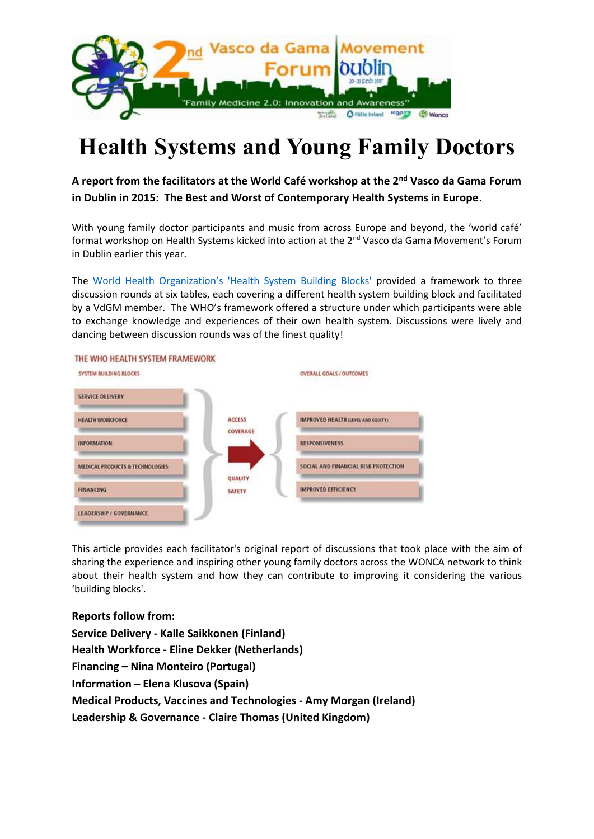

# **Health Systems and Young Family Doctors**

# **A report from the facilitators at the World Café workshop at the 2nd Vasco da Gama Forum in Dublin in 2015: The Best and Worst of Contemporary Health Systems in Europe**.

With young family doctor participants and music from across Europe and beyond, the 'world café' format workshop on Health Systems kicked into action at the 2<sup>nd</sup> Vasco da Gama Movement's Forum in Dublin earlier this year.

The [World Health Organization's 'Health System Building Blocks'](http://www.who.int/healthsystems/strategy/everybodys_business.pdf) provided a framework to three discussion rounds at six tables, each covering a different health system building block and facilitated by a VdGM member. The WHO's framework offered a structure under which participants were able to exchange knowledge and experiences of their own health system. Discussions were lively and dancing between discussion rounds was of the finest quality!



THE WHO HEALTH SYSTEM FRAMEWORK

This article provides each facilitator's original report of discussions that took place with the aim of sharing the experience and inspiring other young family doctors across the WONCA network to think about their health system and how they can contribute to improving it considering the various 'building blocks'.

# **Reports follow from:**

**Service Delivery - Kalle Saikkonen (Finland) Health Workforce - Eline Dekker (Netherlands) Financing – Nina Monteiro (Portugal) Information – Elena Klusova (Spain) Medical Products, Vaccines and Technologies - Amy Morgan (Ireland) Leadership & Governance - Claire Thomas (United Kingdom)**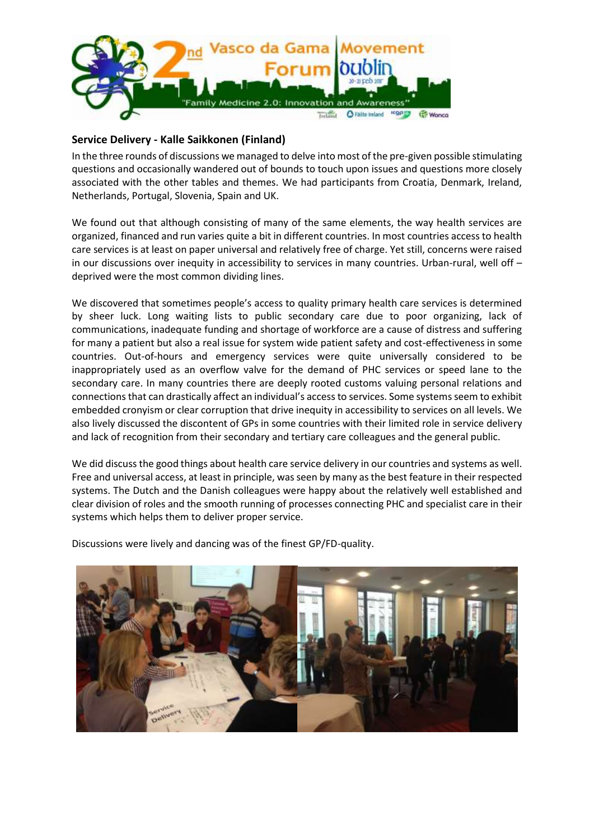

#### **Service Delivery - Kalle Saikkonen (Finland)**

In the three rounds of discussions we managed to delve into most of the pre-given possible stimulating questions and occasionally wandered out of bounds to touch upon issues and questions more closely associated with the other tables and themes. We had participants from Croatia, Denmark, Ireland, Netherlands, Portugal, Slovenia, Spain and UK.

We found out that although consisting of many of the same elements, the way health services are organized, financed and run varies quite a bit in different countries. In most countries access to health care services is at least on paper universal and relatively free of charge. Yet still, concerns were raised in our discussions over inequity in accessibility to services in many countries. Urban-rural, well off – deprived were the most common dividing lines.

We discovered that sometimes people's access to quality primary health care services is determined by sheer luck. Long waiting lists to public secondary care due to poor organizing, lack of communications, inadequate funding and shortage of workforce are a cause of distress and suffering for many a patient but also a real issue for system wide patient safety and cost-effectiveness in some countries. Out-of-hours and emergency services were quite universally considered to be inappropriately used as an overflow valve for the demand of PHC services or speed lane to the secondary care. In many countries there are deeply rooted customs valuing personal relations and connections that can drastically affect an individual's access to services. Some systems seem to exhibit embedded cronyism or clear corruption that drive inequity in accessibility to services on all levels. We also lively discussed the discontent of GPs in some countries with their limited role in service delivery and lack of recognition from their secondary and tertiary care colleagues and the general public.

We did discuss the good things about health care service delivery in our countries and systems as well. Free and universal access, at least in principle, was seen by many as the best feature in their respected systems. The Dutch and the Danish colleagues were happy about the relatively well established and clear division of roles and the smooth running of processes connecting PHC and specialist care in their systems which helps them to deliver proper service.

Discussions were lively and dancing was of the finest GP/FD-quality.

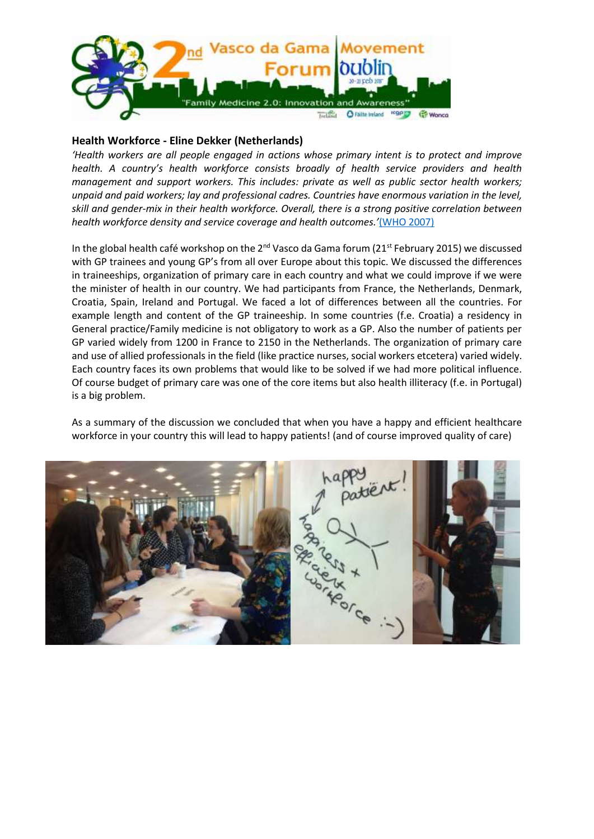

#### **Health Workforce - Eline Dekker (Netherlands)**

*'Health workers are all people engaged in actions whose primary intent is to protect and improve health. A country's health workforce consists broadly of health service providers and health management and support workers. This includes: private as well as public sector health workers; unpaid and paid workers; lay and professional cadres. Countries have enormous variation in the level, skill and gender-mix in their health workforce. Overall, there is a strong positive correlation between health workforce density and service coverage and health outcomes.'*[\(WHO 2007\)](http://www.who.int/healthsystems/strategy/everybodys_business.pdf)

In the global health café workshop on the 2<sup>nd</sup> Vasco da Gama forum (21st February 2015) we discussed with GP trainees and young GP's from all over Europe about this topic. We discussed the differences in traineeships, organization of primary care in each country and what we could improve if we were the minister of health in our country. We had participants from France, the Netherlands, Denmark, Croatia, Spain, Ireland and Portugal. We faced a lot of differences between all the countries. For example length and content of the GP traineeship. In some countries (f.e. Croatia) a residency in General practice/Family medicine is not obligatory to work as a GP. Also the number of patients per GP varied widely from 1200 in France to 2150 in the Netherlands. The organization of primary care and use of allied professionals in the field (like practice nurses, social workers etcetera) varied widely. Each country faces its own problems that would like to be solved if we had more political influence. Of course budget of primary care was one of the core items but also health illiteracy (f.e. in Portugal) is a big problem.

As a summary of the discussion we concluded that when you have a happy and efficient healthcare workforce in your country this will lead to happy patients! (and of course improved quality of care)

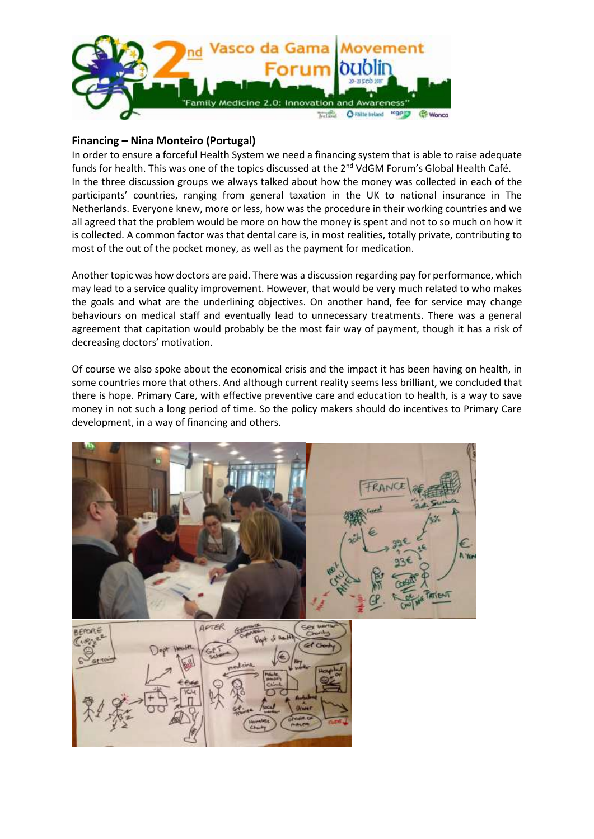

## **Financing – Nina Monteiro (Portugal)**

In order to ensure a forceful Health System we need a financing system that is able to raise adequate funds for health. This was one of the topics discussed at the 2<sup>nd</sup> VdGM Forum's Global Health Café. In the three discussion groups we always talked about how the money was collected in each of the participants' countries, ranging from general taxation in the UK to national insurance in The Netherlands. Everyone knew, more or less, how was the procedure in their working countries and we all agreed that the problem would be more on how the money is spent and not to so much on how it is collected. A common factor was that dental care is, in most realities, totally private, contributing to most of the out of the pocket money, as well as the payment for medication.

Another topic was how doctors are paid. There was a discussion regarding pay for performance, which may lead to a service quality improvement. However, that would be very much related to who makes the goals and what are the underlining objectives. On another hand, fee for service may change behaviours on medical staff and eventually lead to unnecessary treatments. There was a general agreement that capitation would probably be the most fair way of payment, though it has a risk of decreasing doctors' motivation.

Of course we also spoke about the economical crisis and the impact it has been having on health, in some countries more that others. And although current reality seems less brilliant, we concluded that there is hope. Primary Care, with effective preventive care and education to health, is a way to save money in not such a long period of time. So the policy makers should do incentives to Primary Care development, in a way of financing and others.



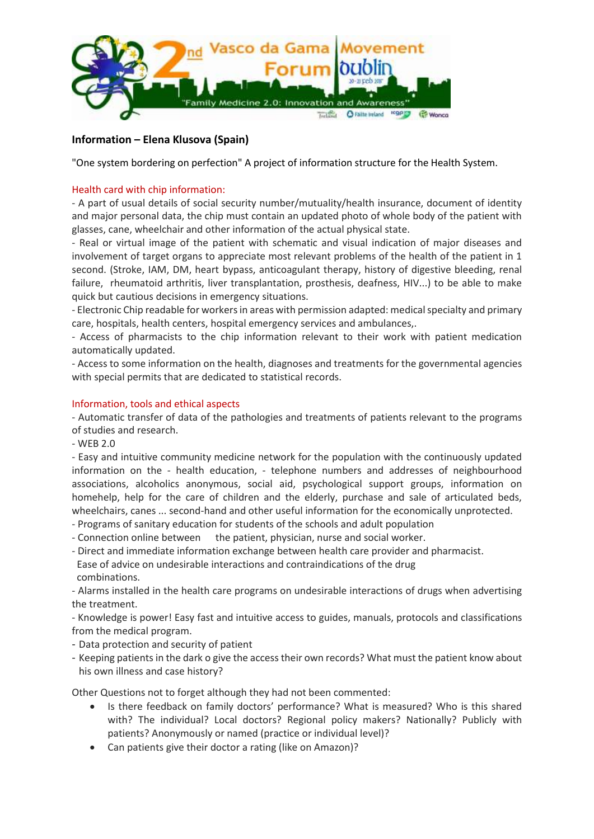

## **Information – Elena Klusova (Spain)**

"One system bordering on perfection" A project of information structure for the Health System.

#### Health card with chip information:

- A part of usual details of social security number/mutuality/health insurance, document of identity and major personal data, the chip must contain an updated photo of whole body of the patient with glasses, cane, wheelchair and other information of the actual physical state.

- Real or virtual image of the patient with schematic and visual indication of major diseases and involvement of target organs to appreciate most relevant problems of the health of the patient in 1 second. (Stroke, IAM, DM, heart bypass, anticoagulant therapy, history of digestive bleeding, renal failure, rheumatoid arthritis, liver transplantation, prosthesis, deafness, HIV...) to be able to make quick but cautious decisions in emergency situations.

- Electronic Chip readable for workers in areas with permission adapted: medical specialty and primary care, hospitals, health centers, hospital emergency services and ambulances,.

- Access of pharmacists to the chip information relevant to their work with patient medication automatically updated.

- Access to some information on the health, diagnoses and treatments for the governmental agencies with special permits that are dedicated to statistical records.

#### Information, tools and ethical aspects

- Automatic transfer of data of the pathologies and treatments of patients relevant to the programs of studies and research.

- WEB 2.0

- Easy and intuitive community medicine network for the population with the continuously updated information on the - health education, - telephone numbers and addresses of neighbourhood associations, alcoholics anonymous, social aid, psychological support groups, information on homehelp, help for the care of children and the elderly, purchase and sale of articulated beds, wheelchairs, canes ... second-hand and other useful information for the economically unprotected.

- Programs of sanitary education for students of the schools and adult population
- Connection online between the patient, physician, nurse and social worker.
- Direct and immediate information exchange between health care provider and pharmacist.

 Ease of advice on undesirable interactions and contraindications of the drug combinations.

- Alarms installed in the health care programs on undesirable interactions of drugs when advertising the treatment.

- Knowledge is power! Easy fast and intuitive access to guides, manuals, protocols and classifications from the medical program.

- Data protection and security of patient
- Keeping patients in the dark o give the access their own records? What must the patient know about his own illness and case history?

Other Questions not to forget although they had not been commented:

- Is there feedback on family doctors' performance? What is measured? Who is this shared with? The individual? Local doctors? Regional policy makers? Nationally? Publicly with patients? Anonymously or named (practice or individual level)?
- Can patients give their doctor a rating (like on Amazon)?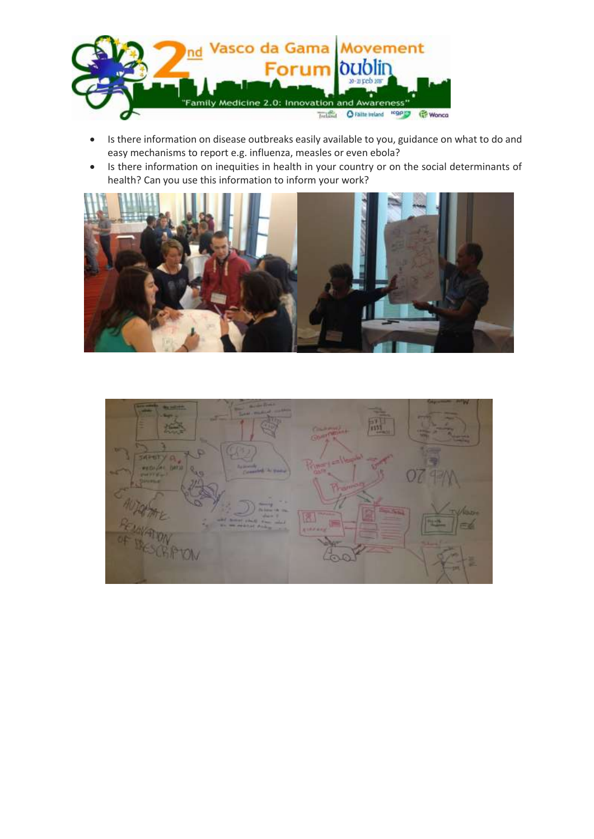

- Is there information on disease outbreaks easily available to you, guidance on what to do and easy mechanisms to report e.g. influenza, measles or even ebola?
- Is there information on inequities in health in your country or on the social determinants of health? Can you use this information to inform your work?



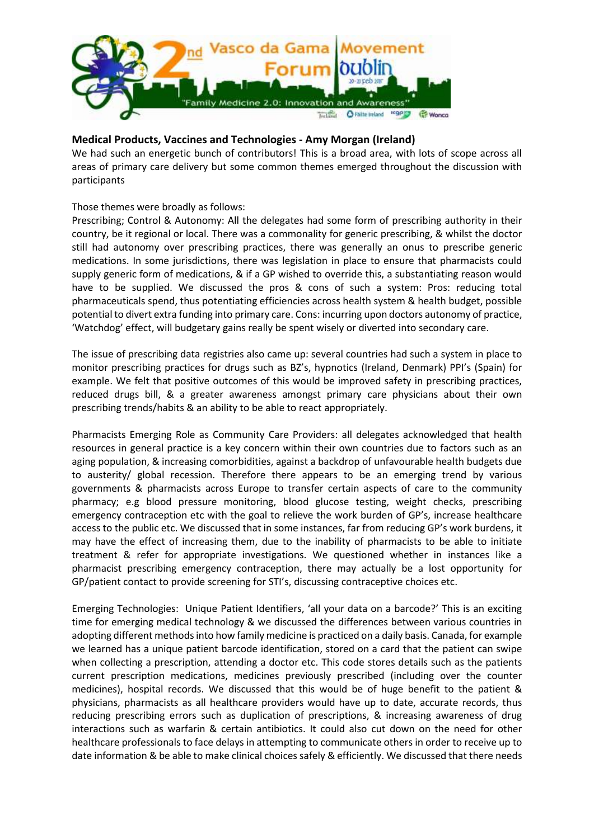

## **Medical Products, Vaccines and Technologies - Amy Morgan (Ireland)**

We had such an energetic bunch of contributors! This is a broad area, with lots of scope across all areas of primary care delivery but some common themes emerged throughout the discussion with participants

#### Those themes were broadly as follows:

Prescribing; Control & Autonomy: All the delegates had some form of prescribing authority in their country, be it regional or local. There was a commonality for generic prescribing, & whilst the doctor still had autonomy over prescribing practices, there was generally an onus to prescribe generic medications. In some jurisdictions, there was legislation in place to ensure that pharmacists could supply generic form of medications, & if a GP wished to override this, a substantiating reason would have to be supplied. We discussed the pros & cons of such a system: Pros: reducing total pharmaceuticals spend, thus potentiating efficiencies across health system & health budget, possible potential to divert extra funding into primary care. Cons: incurring upon doctors autonomy of practice, 'Watchdog' effect, will budgetary gains really be spent wisely or diverted into secondary care.

The issue of prescribing data registries also came up: several countries had such a system in place to monitor prescribing practices for drugs such as BZ's, hypnotics (Ireland, Denmark) PPI's (Spain) for example. We felt that positive outcomes of this would be improved safety in prescribing practices, reduced drugs bill, & a greater awareness amongst primary care physicians about their own prescribing trends/habits & an ability to be able to react appropriately.

Pharmacists Emerging Role as Community Care Providers: all delegates acknowledged that health resources in general practice is a key concern within their own countries due to factors such as an aging population, & increasing comorbidities, against a backdrop of unfavourable health budgets due to austerity/ global recession. Therefore there appears to be an emerging trend by various governments & pharmacists across Europe to transfer certain aspects of care to the community pharmacy; e.g blood pressure monitoring, blood glucose testing, weight checks, prescribing emergency contraception etc with the goal to relieve the work burden of GP's, increase healthcare access to the public etc. We discussed that in some instances, far from reducing GP's work burdens, it may have the effect of increasing them, due to the inability of pharmacists to be able to initiate treatment & refer for appropriate investigations. We questioned whether in instances like a pharmacist prescribing emergency contraception, there may actually be a lost opportunity for GP/patient contact to provide screening for STI's, discussing contraceptive choices etc.

Emerging Technologies: Unique Patient Identifiers, 'all your data on a barcode?' This is an exciting time for emerging medical technology & we discussed the differences between various countries in adopting different methods into how family medicine is practiced on a daily basis. Canada, for example we learned has a unique patient barcode identification, stored on a card that the patient can swipe when collecting a prescription, attending a doctor etc. This code stores details such as the patients current prescription medications, medicines previously prescribed (including over the counter medicines), hospital records. We discussed that this would be of huge benefit to the patient & physicians, pharmacists as all healthcare providers would have up to date, accurate records, thus reducing prescribing errors such as duplication of prescriptions, & increasing awareness of drug interactions such as warfarin & certain antibiotics. It could also cut down on the need for other healthcare professionals to face delays in attempting to communicate others in order to receive up to date information & be able to make clinical choices safely & efficiently. We discussed that there needs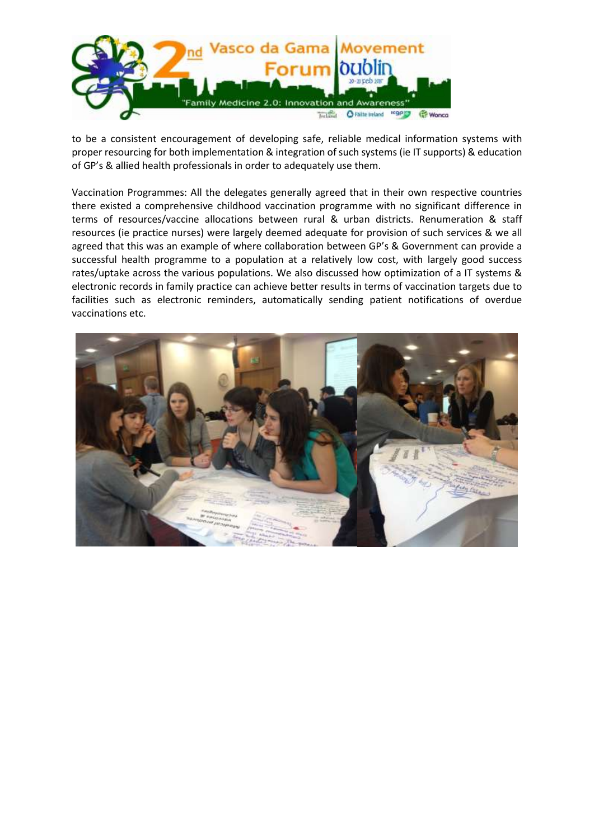

to be a consistent encouragement of developing safe, reliable medical information systems with proper resourcing for both implementation & integration of such systems (ie IT supports) & education of GP's & allied health professionals in order to adequately use them.

Vaccination Programmes: All the delegates generally agreed that in their own respective countries there existed a comprehensive childhood vaccination programme with no significant difference in terms of resources/vaccine allocations between rural & urban districts. Renumeration & staff resources (ie practice nurses) were largely deemed adequate for provision of such services & we all agreed that this was an example of where collaboration between GP's & Government can provide a successful health programme to a population at a relatively low cost, with largely good success rates/uptake across the various populations. We also discussed how optimization of a IT systems & electronic records in family practice can achieve better results in terms of vaccination targets due to facilities such as electronic reminders, automatically sending patient notifications of overdue vaccinations etc.